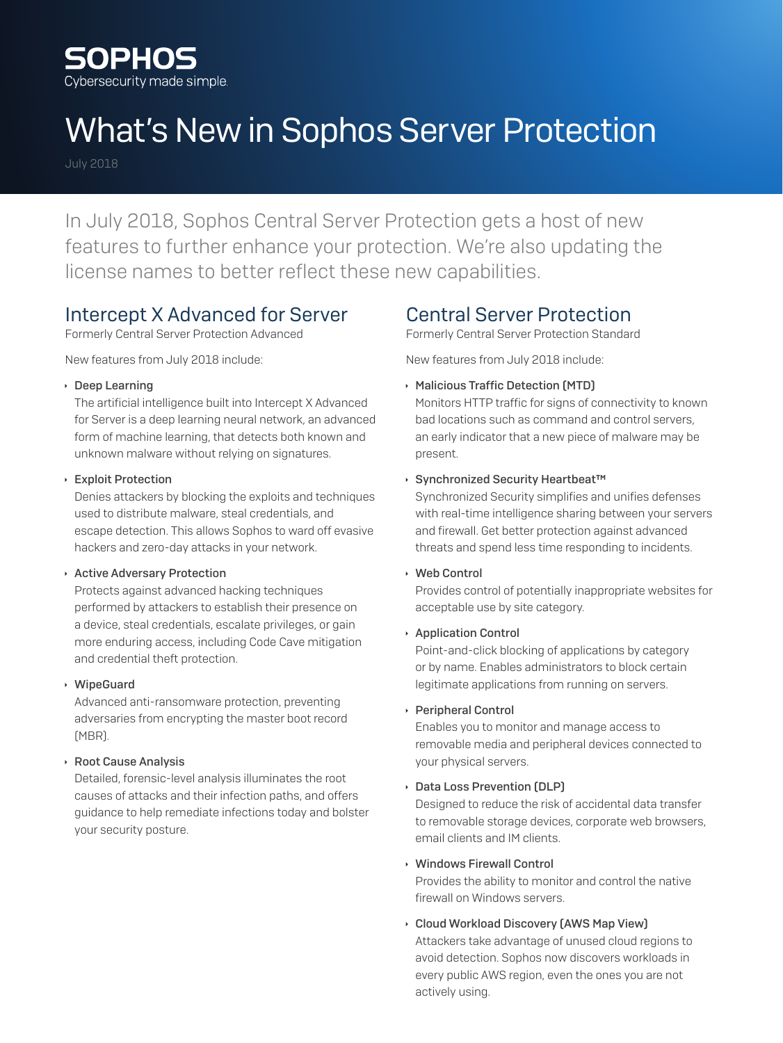

# What's New in Sophos Server Protection

July 2018

In July 2018, Sophos Central Server Protection gets a host of new features to further enhance your protection. We're also updating the license names to better reflect these new capabilities.

## Intercept X Advanced for Server

Formerly Central Server Protection Advanced

New features from July 2018 include:

**Deep Learning** 

The artificial intelligence built into Intercept X Advanced for Server is a deep learning neural network, an advanced form of machine learning, that detects both known and unknown malware without relying on signatures.

#### **Exploit Protection**

Denies attackers by blocking the exploits and techniques used to distribute malware, steal credentials, and escape detection. This allows Sophos to ward off evasive hackers and zero-day attacks in your network.

#### **Active Adversary Protection**

Protects against advanced hacking techniques performed by attackers to establish their presence on a device, steal credentials, escalate privileges, or gain more enduring access, including Code Cave mitigation and credential theft protection.

### Ì WipeGuard

Advanced anti-ransomware protection, preventing adversaries from encrypting the master boot record (MBR).

### **Root Cause Analysis**

Detailed, forensic-level analysis illuminates the root causes of attacks and their infection paths, and offers guidance to help remediate infections today and bolster your security posture.

## Central Server Protection

Formerly Central Server Protection Standard

New features from July 2018 include:

- **Malicious Traffic Detection (MTD)** Monitors HTTP traffic for signs of connectivity to known bad locations such as command and control servers, an early indicator that a new piece of malware may be present.
- Ì Synchronized Security Heartbeat™

Synchronized Security simplifies and unifies defenses with real-time intelligence sharing between your servers and firewall. Get better protection against advanced threats and spend less time responding to incidents.

**Web Control** 

Provides control of potentially inappropriate websites for acceptable use by site category.

**Application Control** 

Point-and-click blocking of applications by category or by name. Enables administrators to block certain legitimate applications from running on servers.

**Peripheral Control** 

Enables you to monitor and manage access to removable media and peripheral devices connected to your physical servers.

### **Data Loss Prevention (DLP)**

Designed to reduce the risk of accidental data transfer to removable storage devices, corporate web browsers, email clients and IM clients.

### **Nindows Firewall Control**

Provides the ability to monitor and control the native firewall on Windows servers.

**Cloud Workload Discovery (AWS Map View)** 

Attackers take advantage of unused cloud regions to avoid detection. Sophos now discovers workloads in every public AWS region, even the ones you are not actively using.